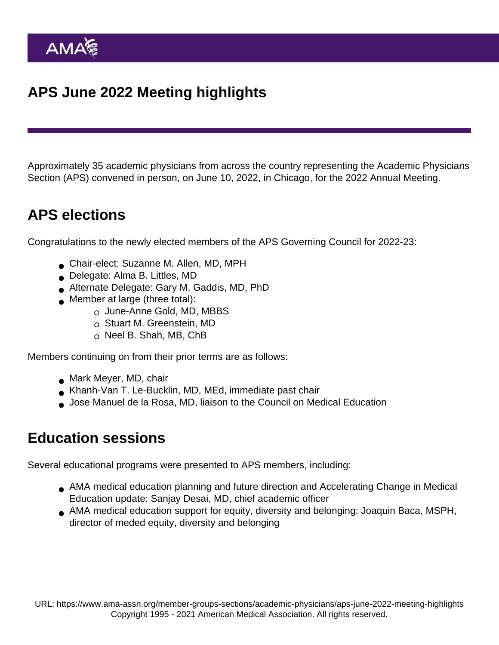Approximately 35 academic physicians from across the country representing the Academic Physicians Section (APS) convened in person, on June 10, 2022, in Chicago, for the 2022 Annual Meeting.

## APS elections

Congratulations to the newly elected members of the APS Governing Council for 2022-23:

- Chair-elect: Suzanne M. Allen, MD, MPH
- Delegate: Alma B. Littles, MD
- Alternate Delegate: Gary M. Gaddis, MD, PhD
- **Member at large (three total):** 
	- o June-Anne Gold, MD, MBBS
	- $\circ$  Stuart M. Greenstein, MD
	- $\circ$  Neel B. Shah, MB, ChB

Members continuing on from their prior terms are as follows:

- Mark Meyer, MD, chair
- Khanh-Van T. Le-Bucklin, MD, MEd, immediate past chair
- Jose Manuel de la Rosa, MD, liaison to the Council on Medical Education

## Education sessions

Several educational programs were presented to APS members, including:

- AMA medical education planning and future direction and Accelerating Change in Medical Education update: Sanjay Desai, MD, chief academic officer
- AMA medical education support for equity, diversity and belonging: Joaquin Baca, MSPH, director of meded equity, diversity and belonging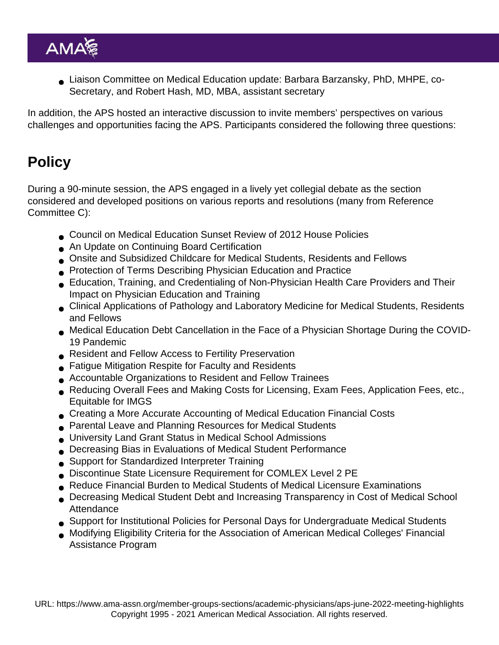Liaison Committee on Medical Education update: Barbara Barzansky, PhD, MHPE, co-Secretary, and Robert Hash, MD, MBA, assistant secretary

In addition, the APS hosted an interactive discussion to invite members' perspectives on various challenges and opportunities facing the APS. Participants considered the following three questions:

## **Policy**

During a 90-minute session, the APS engaged in a lively yet collegial debate as the section considered and developed positions on various reports and resolutions (many from Reference Committee C):

- Council on Medical Education Sunset Review of 2012 House Policies
- An Update on Continuing Board Certification
- Onsite and Subsidized Childcare for Medical Students, Residents and Fellows
- Protection of Terms Describing Physician Education and Practice
- Education, Training, and Credentialing of Non-Physician Health Care Providers and Their Impact on Physician Education and Training
- Clinical Applications of Pathology and Laboratory Medicine for Medical Students, Residents and Fellows
- Medical Education Debt Cancellation in the Face of a Physician Shortage During the COVID-19 Pandemic
- Resident and Fellow Access to Fertility Preservation
- Fatigue Mitigation Respite for Faculty and Residents
- Accountable Organizations to Resident and Fellow Trainees
- Reducing Overall Fees and Making Costs for Licensing, Exam Fees, Application Fees, etc., Equitable for IMGS
- Creating a More Accurate Accounting of Medical Education Financial Costs
- Parental Leave and Planning Resources for Medical Students
- University Land Grant Status in Medical School Admissions
- Decreasing Bias in Evaluations of Medical Student Performance
- Support for Standardized Interpreter Training
- Discontinue State Licensure Requirement for COMLEX Level 2 PE
- Reduce Financial Burden to Medical Students of Medical Licensure Examinations
- Decreasing Medical Student Debt and Increasing Transparency in Cost of Medical School **Attendance**
- Support for Institutional Policies for Personal Days for Undergraduate Medical Students
- Modifying Eligibility Criteria for the Association of American Medical Colleges' Financial Assistance Program